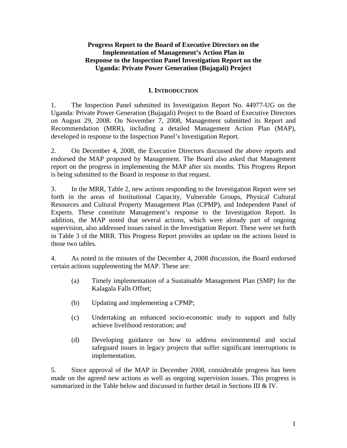# **Progress Report to the Board of Executive Directors on the Implementation of Management's Action Plan in Response to the Inspection Panel Investigation Report on the Uganda: Private Power Generation (Bujagali) Project**

## **I. INTRODUCTION**

1. The Inspection Panel submitted its Investigation Report No. 44977-UG on the Uganda: Private Power Generation (Bujagali) Project to the Board of Executive Directors on August 29, 2008. On November 7, 2008, Management submitted its Report and Recommendation (MRR), including a detailed Management Action Plan (MAP), developed in response to the Inspection Panel's Investigation Report.

2. On December 4, 2008, the Executive Directors discussed the above reports and endorsed the MAP proposed by Management. The Board also asked that Management report on the progress in implementing the MAP after six months. This Progress Report is being submitted to the Board in response to that request.

3. In the MRR, Table 2, new actions responding to the Investigation Report were set forth in the areas of Institutional Capacity, Vulnerable Groups, Physical Cultural Resources and Cultural Property Management Plan (CPMP), and Independent Panel of Experts. These constitute Management's response to the Investigation Report. In addition, the MAP noted that several actions, which were already part of ongoing supervision, also addressed issues raised in the Investigation Report. These were set forth in Table 3 of the MRR. This Progress Report provides an update on the actions listed in those two tables.

4. As noted in the minutes of the December 4, 2008 discussion, the Board endorsed certain actions supplementing the MAP. These are:

- (a) Timely implementation of a Sustainable Management Plan (SMP) for the Kalagala Falls Offset;
- (b) Updating and implementing a CPMP;
- (c) Undertaking an enhanced socio-economic study to support and fully achieve livelihood restoration; and
- (d) Developing guidance on how to address environmental and social safeguard issues in legacy projects that suffer significant interruptions in implementation.

5. Since approval of the MAP in December 2008, considerable progress has been made on the agreed new actions as well as ongoing supervision issues. This progress is summarized in the Table below and discussed in further detail in Sections III  $&N$ .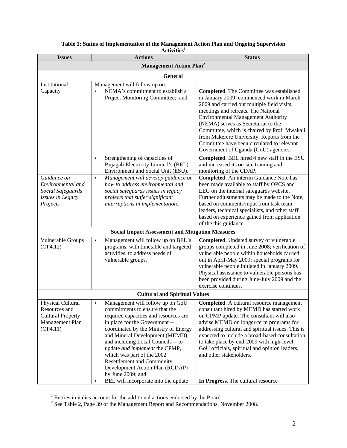| <b>Issues</b>                             | ACTIVILIES<br><b>Actions</b>                                                                | <b>Status</b>                                                                                |  |  |  |
|-------------------------------------------|---------------------------------------------------------------------------------------------|----------------------------------------------------------------------------------------------|--|--|--|
| <b>Management Action Plan<sup>2</sup></b> |                                                                                             |                                                                                              |  |  |  |
| <b>General</b>                            |                                                                                             |                                                                                              |  |  |  |
| Institutional                             | Management will follow up on:                                                               |                                                                                              |  |  |  |
| Capacity                                  | NEMA's commitment to establish a                                                            | Completed. The Committee was established                                                     |  |  |  |
|                                           | Project Monitoring Committee; and                                                           | in January 2009, commenced work in March                                                     |  |  |  |
|                                           |                                                                                             | 2009 and carried out multiple field visits,                                                  |  |  |  |
|                                           |                                                                                             | meetings and retreats. The National<br><b>Environmental Management Authority</b>             |  |  |  |
|                                           |                                                                                             | (NEMA) serves as Secretariat to the                                                          |  |  |  |
|                                           |                                                                                             | Committee, which is chaired by Prof. Mwakali                                                 |  |  |  |
|                                           |                                                                                             | from Makerere University. Reports from the                                                   |  |  |  |
|                                           |                                                                                             | Committee have been circulated to relevant                                                   |  |  |  |
|                                           |                                                                                             | Government of Uganda (GoU) agencies.                                                         |  |  |  |
|                                           | Strengthening of capacities of<br>٠                                                         | Completed. BEL hired 4 new staff in the ESU                                                  |  |  |  |
|                                           | Bujagali Electricity Limited's (BEL)                                                        | and increased its on-site training and                                                       |  |  |  |
| Guidance on                               | Environment and Social Unit (ESU).<br>Management will develop guidance on<br>$\blacksquare$ | monitoring of the CDAP.<br>Completed. An interim Guidance Note has                           |  |  |  |
| Environmental and                         | how to address environmental and                                                            | been made available to staff by OPCS and                                                     |  |  |  |
| Social Safeguards                         | social safeguards issues in legacy                                                          | LEG on the internal safeguards website.                                                      |  |  |  |
| Issues in Legacy                          | projects that suffer significant                                                            | Further adjustments may be made to the Note,                                                 |  |  |  |
| Projects                                  | interruptions in implementation.                                                            | based on comments/input from task team                                                       |  |  |  |
|                                           |                                                                                             | leaders, technical specialists, and other staff                                              |  |  |  |
|                                           |                                                                                             | based on experience gained from application<br>of the this guidance.                         |  |  |  |
|                                           | <b>Social Impact Assessment and Mitigation Measures</b>                                     |                                                                                              |  |  |  |
| Vulnerable Groups                         | Management will follow up on BEL's<br>٠                                                     | Completed. Updated survey of vulnerable                                                      |  |  |  |
| (OP4.12)                                  | programs, with timetable and targeted                                                       | groups completed in June 2008; verification of                                               |  |  |  |
|                                           | activities, to address needs of                                                             | vulnerable people within households carried                                                  |  |  |  |
|                                           | vulnerable groups.                                                                          | out in April-May 2009; special programs for                                                  |  |  |  |
|                                           |                                                                                             | vulnerable people initiated in January 2009.                                                 |  |  |  |
|                                           |                                                                                             | Physical assistance to vulnerable persons has<br>been provided during June-July 2009 and the |  |  |  |
|                                           |                                                                                             | exercise continues.                                                                          |  |  |  |
|                                           | <b>Cultural and Spiritual Values</b>                                                        |                                                                                              |  |  |  |
| <b>Physical Cultural</b>                  | Management will follow up on GoU<br>٠                                                       | Completed. A cultural resource management                                                    |  |  |  |
| Resources and                             | commitments to ensure that the                                                              | consultant hired by MEMD has started work                                                    |  |  |  |
| <b>Cultural Property</b>                  | required capacities and resources are                                                       | on CPMP update. The consultant will also                                                     |  |  |  |
| Management Plan                           | in place for the Government --                                                              | advise MEMD on longer-term programs for                                                      |  |  |  |
| (OP4.11)                                  | coordinated by the Ministry of Energy                                                       | addressing cultural and spiritual issues. This is                                            |  |  |  |
|                                           | and Mineral Development (MEMD),<br>and including Local Councils -- to                       | expected to include a broad-based consultation<br>to take place by end-2009 with high-level  |  |  |  |
|                                           | update and implement the CPMP,                                                              | GoU officials, spiritual and opinion leaders,                                                |  |  |  |
|                                           | which was part of the 2002                                                                  | and other stakeholders.                                                                      |  |  |  |
|                                           | <b>Resettlement and Community</b>                                                           |                                                                                              |  |  |  |
|                                           | Development Action Plan (RCDAP)                                                             |                                                                                              |  |  |  |
|                                           | by June 2009; and                                                                           |                                                                                              |  |  |  |
|                                           | BEL will incorporate into the update                                                        | In Progress. The cultural resource                                                           |  |  |  |

## **Table 1: Status of Implementation of the Management Action Plan and Ongoing Supervision Activities1**

<sup>&</sup>lt;sup>1</sup> Entries in italics account for the additional actions endorsed by the Board.<br><sup>2</sup> See Table 2, Page 39 of the Management Report and Recommendations, November 2008.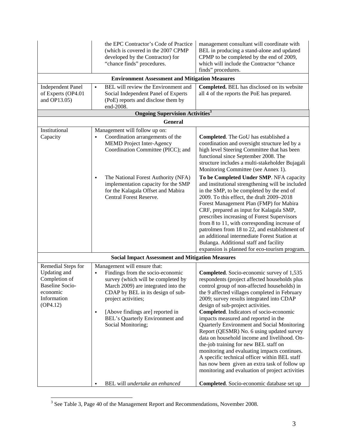| the EPC Contractor's Code of Practice<br>(which is covered in the 2007 CPMP)<br>developed by the Contractor) for<br>"chance finds" procedures.                                                                                                                                                                           | management consultant will coordinate with<br>BEL in producing a stand-alone and updated<br>CPMP to be completed by the end of 2009,<br>which will include the Contractor "chance<br>finds" procedures.                                                                                                                                                                                                                                                                                                                                                                                                                                                                                                                                                                                                                                                  |  |  |  |  |
|--------------------------------------------------------------------------------------------------------------------------------------------------------------------------------------------------------------------------------------------------------------------------------------------------------------------------|----------------------------------------------------------------------------------------------------------------------------------------------------------------------------------------------------------------------------------------------------------------------------------------------------------------------------------------------------------------------------------------------------------------------------------------------------------------------------------------------------------------------------------------------------------------------------------------------------------------------------------------------------------------------------------------------------------------------------------------------------------------------------------------------------------------------------------------------------------|--|--|--|--|
| <b>Environment Assessment and Mitigation Measures</b>                                                                                                                                                                                                                                                                    |                                                                                                                                                                                                                                                                                                                                                                                                                                                                                                                                                                                                                                                                                                                                                                                                                                                          |  |  |  |  |
| BEL will review the Environment and<br>٠<br>Social Independent Panel of Experts<br>(PoE) reports and disclose them by<br>end-2008.                                                                                                                                                                                       | Completed. BEL has disclosed on its website<br>all 4 of the reports the PoE has prepared.                                                                                                                                                                                                                                                                                                                                                                                                                                                                                                                                                                                                                                                                                                                                                                |  |  |  |  |
| <b>Ongoing Supervision Activities</b> <sup>3</sup>                                                                                                                                                                                                                                                                       |                                                                                                                                                                                                                                                                                                                                                                                                                                                                                                                                                                                                                                                                                                                                                                                                                                                          |  |  |  |  |
| <b>General</b>                                                                                                                                                                                                                                                                                                           |                                                                                                                                                                                                                                                                                                                                                                                                                                                                                                                                                                                                                                                                                                                                                                                                                                                          |  |  |  |  |
| Management will follow up on:<br>Coordination arrangements of the<br><b>MEMD Project Inter-Agency</b><br>Coordination Committee (PICC); and<br>The National Forest Authority (NFA)<br>implementation capacity for the SMP<br>for the Kalagala Offset and Mabira<br>Central Forest Reserve.                               | <b>Completed.</b> The GoU has established a<br>coordination and oversight structure led by a<br>high level Steering Committee that has been<br>functional since September 2008. The<br>structure includes a multi-stakeholder Bujagali<br>Monitoring Committee (see Annex 1).<br>To be Completed Under SMP. NFA capacity<br>and institutional strengthening will be included<br>in the SMP, to be completed by the end of<br>2009. To this effect, the draft 2009-2018<br>Forest Management Plan (FMP) for Mabira<br>CRF, prepared as input for Kalagala SMP,<br>prescribes increasing of Forest Supervisors<br>from 8 to 11, with corresponding increase of<br>patrolmen from 18 to 22, and establishment of<br>an additional intermediate Forest Station at<br>Bulanga. Additional staff and facility<br>expansion is planned for eco-tourism program. |  |  |  |  |
|                                                                                                                                                                                                                                                                                                                          |                                                                                                                                                                                                                                                                                                                                                                                                                                                                                                                                                                                                                                                                                                                                                                                                                                                          |  |  |  |  |
| Management will ensure that:<br>Findings from the socio-economic<br>survey (which will be completed by<br>March 2009) are integrated into the<br>CDAP by BEL in its design of sub-<br>project activities;<br>[Above findings are] reported in<br>$\blacksquare$<br>BEL's Quarterly Environment and<br>Social Monitoring; | Completed. Socio-economic survey of 1,535<br>respondents (project affected households plus<br>control group of non-affected households) in<br>the 9 affected villages completed in February<br>2009; survey results integrated into CDAP<br>design of sub-project activities.<br>Completed. Indicators of socio-economic<br>impacts measured and reported in the<br>Quarterly Environment and Social Monitoring<br>Report (QESMR) No. 6 using updated survey<br>data on household income and livelihood. On-<br>the-job training for new BEL staff on<br>monitoring and evaluating impacts continues.<br>A specific technical officer within BEL staff<br>has now been given an extra task of follow up<br>monitoring and evaluation of project activities<br>Completed. Socio-economic database set up                                                  |  |  |  |  |
|                                                                                                                                                                                                                                                                                                                          | <b>Social Impact Assessment and Mitigation Measures</b><br>BEL will undertake an enhanced<br>٠                                                                                                                                                                                                                                                                                                                                                                                                                                                                                                                                                                                                                                                                                                                                                           |  |  |  |  |

<sup>&</sup>lt;sup>3</sup> See Table 3, Page 40 of the Management Report and Recommendations, November 2008.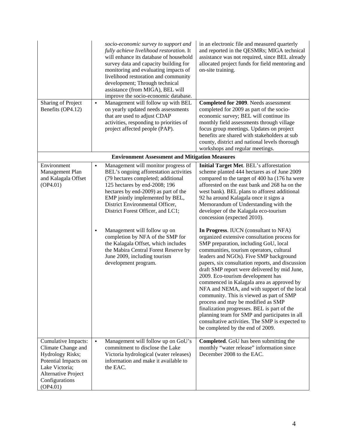|                                                                                                                                                                     | socio-economic survey to support and<br>fully achieve livelihood restoration. It<br>will enhance its database of household<br>survey data and capacity building for<br>monitoring and evaluating impacts of<br>livelihood restoration and community<br>development; Through technical<br>assistance (from MIGA), BEL will<br>improve the socio-economic database. | in an electronic file and measured quarterly<br>and reported in the QESMRs; MIGA technical<br>assistance was not required, since BEL already<br>allocated project funds for field mentoring and<br>on-site training.                                                                                                                                                                                                                                                                                                                                                                                                                                                                                                               |  |  |  |  |
|---------------------------------------------------------------------------------------------------------------------------------------------------------------------|-------------------------------------------------------------------------------------------------------------------------------------------------------------------------------------------------------------------------------------------------------------------------------------------------------------------------------------------------------------------|------------------------------------------------------------------------------------------------------------------------------------------------------------------------------------------------------------------------------------------------------------------------------------------------------------------------------------------------------------------------------------------------------------------------------------------------------------------------------------------------------------------------------------------------------------------------------------------------------------------------------------------------------------------------------------------------------------------------------------|--|--|--|--|
| Sharing of Project<br>Benefits (OP4.12)                                                                                                                             | Management will follow up with BEL<br>٠<br>on yearly updated needs assessments<br>that are used to adjust CDAP<br>activities, responding to priorities of<br>project affected people (PAP).                                                                                                                                                                       | Completed for 2009. Needs assessment<br>completed for 2009 as part of the socio-<br>economic survey; BEL will continue its<br>monthly field assessments through village<br>focus group meetings. Updates on project<br>benefits are shared with stakeholders at sub<br>county, district and national levels thorough<br>workshops and regular meetings.                                                                                                                                                                                                                                                                                                                                                                            |  |  |  |  |
|                                                                                                                                                                     | <b>Environment Assessment and Mitigation Measures</b>                                                                                                                                                                                                                                                                                                             |                                                                                                                                                                                                                                                                                                                                                                                                                                                                                                                                                                                                                                                                                                                                    |  |  |  |  |
| Environment<br>Management Plan<br>and Kalagala Offset<br>(OP4.01)                                                                                                   | Management will monitor progress of<br>٠<br>BEL's ongoing afforestation activities<br>(79 hectares completed; additional<br>125 hectares by end-2008; 196<br>hectares by end-2009) as part of the<br>EMP jointly implemented by BEL,<br>District Environmental Officer,<br>District Forest Officer, and LC1;                                                      | Initial Target Met. BEL's afforestation<br>scheme planted 444 hectares as of June 2009<br>compared to the target of 400 ha (176 ha were<br>afforested on the east bank and 268 ha on the<br>west bank). BEL plans to afforest additional<br>92 ha around Kalagala once it signs a<br>Memorandum of Understanding with the<br>developer of the Kalagala eco-tourism<br>concession (expected 2010).                                                                                                                                                                                                                                                                                                                                  |  |  |  |  |
|                                                                                                                                                                     | Management will follow up on<br>٠<br>completion by NFA of the SMP for<br>the Kalagala Offset, which includes<br>the Mabira Central Forest Reserve by<br>June 2009, including tourism<br>development program.                                                                                                                                                      | In Progress. IUCN (consultant to NFA)<br>organized extensive consultation process for<br>SMP preparation, including GoU, local<br>communities, tourism operators, cultural<br>leaders and NGOs). Five SMP background<br>papers, six consultation reports, and discussion<br>draft SMP report were delivered by mid June,<br>2009. Eco-tourism development has<br>commenced in Kalagala area as approved by<br>NFA and NEMA, and with support of the local<br>community. This is viewed as part of SMP<br>process and may be modified as SMP<br>finalization progresses. BEL is part of the<br>planning team for SMP and participates in all<br>consultative activities. The SMP is expected to<br>be completed by the end of 2009. |  |  |  |  |
| Cumulative Impacts:<br>Climate Change and<br><b>Hydrology Risks;</b><br>Potential Impacts on<br>Lake Victoria;<br>Alternative Project<br>Configurations<br>(OP4.01) | $\blacksquare$<br>Management will follow up on GoU's<br>commitment to disclose the Lake<br>Victoria hydrological (water releases)<br>information and make it available to<br>the EAC.                                                                                                                                                                             | Completed. GoU has been submitting the<br>monthly "water release" information since<br>December 2008 to the EAC.                                                                                                                                                                                                                                                                                                                                                                                                                                                                                                                                                                                                                   |  |  |  |  |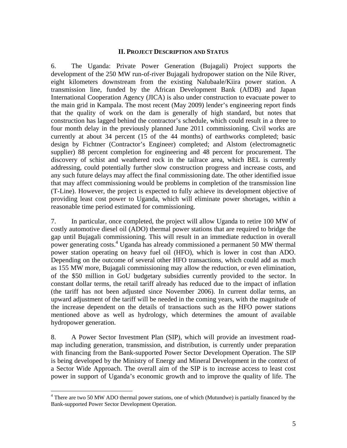# **II. PROJECT DESCRIPTION AND STATUS**

6. The Uganda: Private Power Generation (Bujagali) Project supports the development of the 250 MW run-of-river Bujagali hydropower station on the Nile River, eight kilometers downstream from the existing Nalubaale/Kiira power station. A transmission line, funded by the African Development Bank (AfDB) and Japan International Cooperation Agency (JICA) is also under construction to evacuate power to the main grid in Kampala. The most recent (May 2009) lender's engineering report finds that the quality of work on the dam is generally of high standard, but notes that construction has lagged behind the contractor's schedule, which could result in a three to four month delay in the previously planned June 2011 commissioning. Civil works are currently at about 34 percent (15 of the 44 months) of earthworks completed; basic design by Fichtner (Contractor's Engineer) completed; and Alstom (electromagnetic supplier) 88 percent completion for engineering and 48 percent for procurement. The discovery of schist and weathered rock in the tailrace area, which BEL is currently addressing, could potentially further slow construction progress and increase costs, and any such future delays may affect the final commissioning date. The other identified issue that may affect commissioning would be problems in completion of the transmission line (T-Line). However, the project is expected to fully achieve its development objective of providing least cost power to Uganda, which will eliminate power shortages, within a reasonable time period estimated for commissioning.

7. In particular, once completed, the project will allow Uganda to retire 100 MW of costly automotive diesel oil (ADO) thermal power stations that are required to bridge the gap until Bujagali commissioning. This will result in an immediate reduction in overall power generating costs.4 Uganda has already commissioned a permanent 50 MW thermal power station operating on heavy fuel oil (HFO), which is lower in cost than ADO. Depending on the outcome of several other HFO transactions, which could add as much as 155 MW more, Bujagali commissioning may allow the reduction, or even elimination, of the \$50 million in GoU budgetary subsidies currently provided to the sector. In constant dollar terms, the retail tariff already has reduced due to the impact of inflation (the tariff has not been adjusted since November 2006). In current dollar terms, an upward adjustment of the tariff will be needed in the coming years, with the magnitude of the increase dependent on the details of transactions such as the HFO power stations mentioned above as well as hydrology, which determines the amount of available hydropower generation.

8. A Power Sector Investment Plan (SIP), which will provide an investment roadmap including generation, transmission, and distribution, is currently under preparation with financing from the Bank-supported Power Sector Development Operation. The SIP is being developed by the Ministry of Energy and Mineral Development in the context of a Sector Wide Approach. The overall aim of the SIP is to increase access to least cost power in support of Uganda's economic growth and to improve the quality of life. The

1

<sup>&</sup>lt;sup>4</sup> There are two 50 MW ADO thermal power stations, one of which (Mutundwe) is partially financed by the Bank-supported Power Sector Development Operation.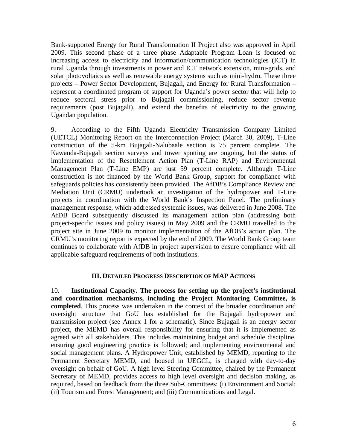Bank-supported Energy for Rural Transformation II Project also was approved in April 2009. This second phase of a three phase Adaptable Program Loan is focused on increasing access to electricity and information/communication technologies (ICT) in rural Uganda through investments in power and ICT network extension, mini-grids, and solar photovoltaics as well as renewable energy systems such as mini-hydro. These three projects – Power Sector Development, Bujagali, and Energy for Rural Transformation – represent a coordinated program of support for Uganda's power sector that will help to reduce sectoral stress prior to Bujagali commissioning, reduce sector revenue requirements (post Bujagali), and extend the benefits of electricity to the growing Ugandan population.

9. According to the Fifth Uganda Electricity Transmission Company Limited (UETCL) Monitoring Report on the Interconnection Project (March 30, 2009), T-Line construction of the 5-km Bujagali-Nalubaale section is 75 percent complete. The Kawanda-Bujagali section surveys and tower spotting are ongoing, but the status of implementation of the Resettlement Action Plan (T-Line RAP) and Environmental Management Plan (T-Line EMP) are just 59 percent complete. Although T-Line construction is not financed by the World Bank Group, support for compliance with safeguards policies has consistently been provided. The AfDB's Compliance Review and Mediation Unit (CRMU) undertook an investigation of the hydropower and T-Line projects in coordination with the World Bank's Inspection Panel. The preliminary management response, which addressed systemic issues, was delivered in June 2008. The AfDB Board subsequently discussed its management action plan (addressing both project-specific issues and policy issues) in May 2009 and the CRMU travelled to the project site in June 2009 to monitor implementation of the AfDB's action plan. The CRMU's monitoring report is expected by the end of 2009. The World Bank Group team continues to collaborate with AfDB in project supervision to ensure compliance with all applicable safeguard requirements of both institutions.

## **III. DETAILED PROGRESS DESCRIPTION OF MAP ACTIONS**

10. **Institutional Capacity. The process for setting up the project's institutional and coordination mechanisms, including the Project Monitoring Committee, is completed**. This process was undertaken in the context of the broader coordination and oversight structure that GoU has established for the Bujagali hydropower and transmission project (see Annex 1 for a schematic). Since Bujagali is an energy sector project, the MEMD has overall responsibility for ensuring that it is implemented as agreed with all stakeholders. This includes maintaining budget and schedule discipline, ensuring good engineering practice is followed; and implementing environmental and social management plans. A Hydropower Unit, established by MEMD, reporting to the Permanent Secretary MEMD, and housed in UEGCL, is charged with day-to-day oversight on behalf of GoU. A high level Steering Committee, chaired by the Permanent Secretary of MEMD, provides access to high level oversight and decision making, as required, based on feedback from the three Sub-Committees: (i) Environment and Social; (ii) Tourism and Forest Management; and (iii) Communications and Legal.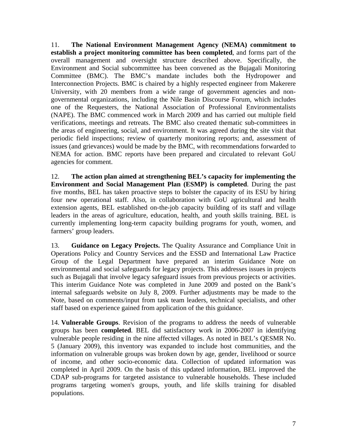11. **The National Environment Management Agency (NEMA) commitment to establish a project monitoring committee has been completed**, and forms part of the overall management and oversight structure described above. Specifically, the Environment and Social subcommittee has been convened as the Bujagali Monitoring Committee (BMC). The BMC's mandate includes both the Hydropower and Interconnection Projects. BMC is chaired by a highly respected engineer from Makerere University, with 20 members from a wide range of government agencies and nongovernmental organizations, including the Nile Basin Discourse Forum, which includes one of the Requesters, the National Association of Professional Environmentalists (NAPE). The BMC commenced work in March 2009 and has carried out multiple field verifications, meetings and retreats. The BMC also created thematic sub-committees in the areas of engineering, social, and environment. It was agreed during the site visit that periodic field inspections; review of quarterly monitoring reports; and, assessment of issues (and grievances) would be made by the BMC, with recommendations forwarded to NEMA for action. BMC reports have been prepared and circulated to relevant GoU agencies for comment.

12. **The action plan aimed at strengthening BEL's capacity for implementing the Environment and Social Management Plan (ESMP) is completed**. During the past five months, BEL has taken proactive steps to bolster the capacity of its ESU by hiring four new operational staff. Also, in collaboration with GoU agricultural and health extension agents, BEL established on-the-job capacity building of its staff and village leaders in the areas of agriculture, education, health, and youth skills training. BEL is currently implementing long-term capacity building programs for youth, women, and farmers' group leaders.

13. **Guidance on Legacy Projects.** The Quality Assurance and Compliance Unit in Operations Policy and Country Services and the ESSD and International Law Practice Group of the Legal Department have prepared an interim Guidance Note on environmental and social safeguards for legacy projects. This addresses issues in projects such as Bujagali that involve legacy safeguard issues from previous projects or activities. This interim Guidance Note was completed in June 2009 and posted on the Bank's internal safeguards website on July 8, 2009. Further adjustments may be made to the Note, based on comments/input from task team leaders, technical specialists, and other staff based on experience gained from application of the this guidance.

14. **Vulnerable Groups**. Revision of the programs to address the needs of vulnerable groups has been **completed**. BEL did satisfactory work in 2006-2007 in identifying vulnerable people residing in the nine affected villages. As noted in BEL's QESMR No. 5 (January 2009), this inventory was expanded to include host communities, and the information on vulnerable groups was broken down by age, gender, livelihood or source of income, and other socio-economic data. Collection of updated information was completed in April 2009. On the basis of this updated information, BEL improved the CDAP sub-programs for targeted assistance to vulnerable households. These included programs targeting women's groups, youth, and life skills training for disabled populations.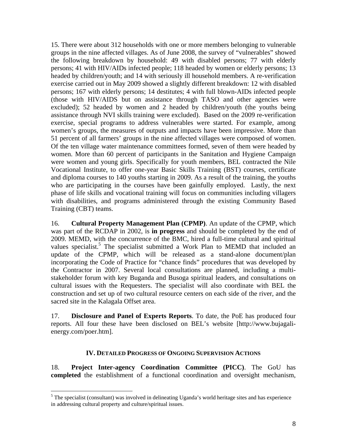15. There were about 312 households with one or more members belonging to vulnerable groups in the nine affected villages. As of June 2008, the survey of "vulnerables" showed the following breakdown by household: 49 with disabled persons; 77 with elderly persons; 41 with HIV/AIDs infected people; 118 headed by women or elderly persons; 13 headed by children/youth; and 14 with seriously ill household members. A re-verification exercise carried out in May 2009 showed a slightly different breakdown: 12 with disabled persons; 167 with elderly persons; 14 destitutes; 4 with full blown-AIDs infected people (those with HIV/AIDS but on assistance through TASO and other agencies were excluded); 52 headed by women and 2 headed by children/youth (the youths being assistance through NVI skills training were excluded). Based on the 2009 re-verification exercise, special programs to address vulnerables were started. For example, among women's groups, the measures of outputs and impacts have been impressive. More than 51 percent of all farmers' groups in the nine affected villages were composed of women. Of the ten village water maintenance committees formed, seven of them were headed by women. More than 60 percent of participants in the Sanitation and Hygiene Campaign were women and young girls. Specifically for youth members, BEL contracted the Nile Vocational Institute, to offer one-year Basic Skills Training (BST) courses, certificate and diploma courses to 140 youths starting in 2009. As a result of the training, the youths who are participating in the courses have been gainfully employed. Lastly, the next phase of life skills and vocational training will focus on communities including villagers with disabilities, and programs administered through the existing Community Based Training (CBT) teams.

16. **Cultural Property Management Plan (CPMP)**. An update of the CPMP, which was part of the RCDAP in 2002, is **in progress** and should be completed by the end of 2009. MEMD, with the concurrence of the BMC, hired a full-time cultural and spiritual values specialist.<sup>5</sup> The specialist submitted a Work Plan to MEMD that included an update of the CPMP, which will be released as a stand-alone document/plan incorporating the Code of Practice for "chance finds" procedures that was developed by the Contractor in 2007. Several local consultations are planned, including a multistakeholder forum with key Buganda and Busoga spiritual leaders, and consultations on cultural issues with the Requesters. The specialist will also coordinate with BEL the construction and set up of two cultural resource centers on each side of the river, and the sacred site in the Kalagala Offset area.

17. **Disclosure and Panel of Experts Reports**. To date, the PoE has produced four reports. All four these have been disclosed on BEL's website [http://www.bujagalienergy.com/poer.htm].

# **IV. DETAILED PROGRESS OF ONGOING SUPERVISION ACTIONS**

18. **Project Inter-agency Coordination Committee (PICC)**. The GoU has **completed** the establishment of a functional coordination and oversight mechanism,

1

<sup>&</sup>lt;sup>5</sup> The specialist (consultant) was involved in delineating Uganda's world heritage sites and has experience in addressing cultural property and culture/spiritual issues.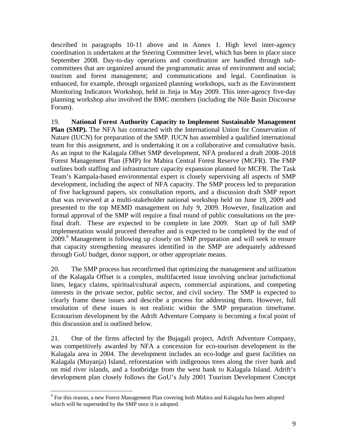described in paragraphs 10-11 above and in Annex 1. High level inter-agency coordination is undertaken at the Steering Committee level, which has been in place since September 2008. Day-to-day operations and coordination are handled through subcommittees that are organized around the programmatic areas of environment and social; tourism and forest management; and communications and legal. Coordination is enhanced, for example, through organized planning workshops, such as the Environment Monitoring Indicators Workshop, held in Jinja in May 2009. This inter-agency five-day planning workshop also involved the BMC members (including the Nile Basin Discourse Forum).

19. **National Forest Authority Capacity to Implement Sustainable Management Plan (SMP).** The NFA has contracted with the International Union for Conservation of Nature (IUCN) for preparation of the SMP. IUCN has assembled a qualified international team for this assignment, and is undertaking it on a collaborative and consultative basis. As an input to the Kalagala Offset SMP development, NFA produced a draft 2008–2018 Forest Management Plan (FMP) for Mabira Central Forest Reserve (MCFR). The FMP outlines both staffing and infrastructure capacity expansion planned for MCFR. The Task Team's Kampala-based environmental expert is closely supervising all aspects of SMP development, including the aspect of NFA capacity. The SMP process led to preparation of five background papers, six consultation reports, and a discussion draft SMP report that was reviewed at a multi-stakeholder national workshop held on June 19, 2009 and presented to the top MEMD management on July 9, 2009. However, finalization and formal approval of the SMP will require a final round of public consultations on the prefinal draft. These are expected to be complete in late 2009. Start up of full SMP implementation would proceed thereafter and is expected to be completed by the end of 2009.<sup>6</sup> Management is following up closely on SMP preparation and will seek to ensure that capacity strengthening measures identified in the SMP are adequately addressed through GoU budget, donor support, or other appropriate means.

20. The SMP process has reconfirmed that optimizing the management and utilization of the Kalagala Offset is a complex, multifaceted issue involving unclear jurisdictional lines, legacy claims, spiritual/cultural aspects, commercial aspirations, and competing interests in the private sector, public sector, and civil society. The SMP is expected to clearly frame these issues and describe a process for addressing them. However, full resolution of these issues is not realistic within the SMP preparation timeframe. Ecotourism development by the Adrift Adventure Company is becoming a focal point of this discussion and is outlined below.

21. One of the firms affected by the Bujagali project, Adrift Adventure Company, was competitively awarded by NFA a concession for eco-tourism development in the Kalagala area in 2004. The development includes an eco-lodge and guest facilities on Kalagala (Muyanja) Island, reforestation with indigenous trees along the river bank and on mid river islands, and a footbridge from the west bank to Kalagala Island. Adrift's development plan closely follows the GoU's July 2001 Tourism Development Concept

 $\overline{a}$ 

<sup>&</sup>lt;sup>6</sup> For this reason, a new Forest Management Plan covering both Mabira and Kalagala has been adopted which will be superseded by the SMP once it is adopted.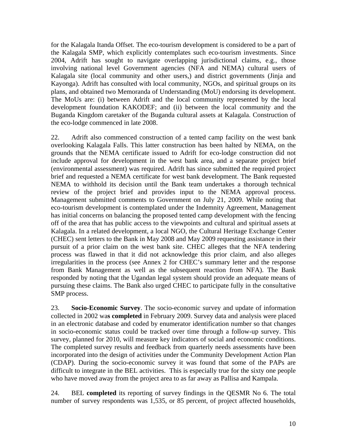for the Kalagala Itanda Offset. The eco-tourism development is considered to be a part of the Kalagala SMP, which explicitly contemplates such eco-tourism investments. Since 2004, Adrift has sought to navigate overlapping jurisdictional claims, e.g., those involving national level Government agencies (NFA and NEMA) cultural users of Kalagala site (local community and other users,) and district governments (Jinja and Kayonga). Adrift has consulted with local community, NGOs, and spiritual groups on its plans, and obtained two Memoranda of Understanding (MoU) endorsing its development. The MoUs are: (i) between Adrift and the local community represented by the local development foundation KAKODEF; and (ii) between the local community and the Buganda Kingdom caretaker of the Buganda cultural assets at Kalagala. Construction of the eco-lodge commenced in late 2008.

22. Adrift also commenced construction of a tented camp facility on the west bank overlooking Kalagala Falls. This latter construction has been halted by NEMA, on the grounds that the NEMA certificate issued to Adrift for eco-lodge construction did not include approval for development in the west bank area, and a separate project brief (environmental assessment) was required. Adrift has since submitted the required project brief and requested a NEMA certificate for west bank development. The Bank requested NEMA to withhold its decision until the Bank team undertakes a thorough technical review of the project brief and provides input to the NEMA approval process. Management submitted comments to Government on July 21, 2009. While noting that eco-tourism development is contemplated under the Indemnity Agreement, Management has initial concerns on balancing the proposed tented camp development with the fencing off of the area that has public access to the viewpoints and cultural and spiritual assets at Kalagala. In a related development, a local NGO, the Cultural Heritage Exchange Center (CHEC) sent letters to the Bank in May 2008 and May 2009 requesting assistance in their pursuit of a prior claim on the west bank site. CHEC alleges that the NFA tendering process was flawed in that it did not acknowledge this prior claim, and also alleges irregularities in the process (see Annex 2 for CHEC's summary letter and the response from Bank Management as well as the subsequent reaction from NFA). The Bank responded by noting that the Ugandan legal system should provide an adequate means of pursuing these claims. The Bank also urged CHEC to participate fully in the consultative SMP process.

23. **Socio-Economic Survey**. The socio-economic survey and update of information collected in 2002 wa**s completed** in February 2009. Survey data and analysis were placed in an electronic database and coded by enumerator identification number so that changes in socio-economic status could be tracked over time through a follow-up survey. This survey, planned for 2010, will measure key indicators of social and economic conditions. The completed survey results and feedback from quarterly needs assessments have been incorporated into the design of activities under the Community Development Action Plan (CDAP). During the socio-economic survey it was found that some of the PAPs are difficult to integrate in the BEL activities. This is especially true for the sixty one people who have moved away from the project area to as far away as Pallisa and Kampala.

24. BEL **completed** its reporting of survey findings in the QESMR No 6. The total number of survey respondents was 1,535, or 85 percent, of project affected households,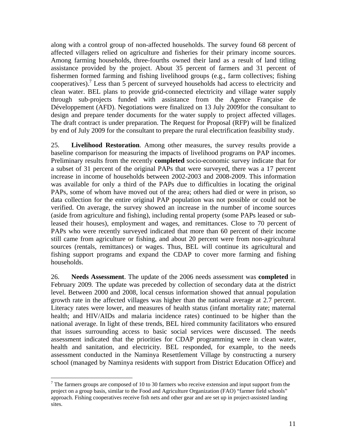along with a control group of non-affected households. The survey found 68 percent of affected villagers relied on agriculture and fisheries for their primary income sources. Among farming households, three-fourths owned their land as a result of land titling assistance provided by the project. About 35 percent of farmers and 31 percent of fishermen formed farming and fishing livelihood groups (e.g., farm collectives; fishing cooperatives).<sup>7</sup> Less than 5 percent of surveyed households had access to electricity and clean water. BEL plans to provide grid-connected electricity and village water supply through sub-projects funded with assistance from the Agence Française de Développement (AFD). Negotiations were finalized on 13 July 2009for the consultant to design and prepare tender documents for the water supply to project affected villages. The draft contract is under preparation. The Request for Proposal (RFP) will be finalized by end of July 2009 for the consultant to prepare the rural electrification feasibility study.

25. **Livelihood Restoration**. Among other measures, the survey results provide a baseline comparison for measuring the impacts of livelihood programs on PAP incomes. Preliminary results from the recently **completed** socio-economic survey indicate that for a subset of 31 percent of the original PAPs that were surveyed, there was a 17 percent increase in income of households between 2002-2003 and 2008-2009. This information was available for only a third of the PAPs due to difficulties in locating the original PAPs, some of whom have moved out of the area; others had died or were in prison, so data collection for the entire original PAP population was not possible or could not be verified. On average, the survey showed an increase in the number of income sources (aside from agriculture and fishing), including rental property (some PAPs leased or subleased their houses), employment and wages, and remittances. Close to 70 percent of PAPs who were recently surveyed indicated that more than 60 percent of their income still came from agriculture or fishing, and about 20 percent were from non-agricultural sources (rentals, remittances) or wages. Thus, BEL will continue its agricultural and fishing support programs and expand the CDAP to cover more farming and fishing households.

26. **Needs Assessment**. The update of the 2006 needs assessment was **completed** in February 2009*.* The update was preceded by collection of secondary data at the district level. Between 2000 and 2008, local census information showed that annual population growth rate in the affected villages was higher than the national average at 2.7 percent. Literacy rates were lower, and measures of health status (infant mortality rate; maternal health; and HIV/AIDs and malaria incidence rates) continued to be higher than the national average. In light of these trends, BEL hired community facilitators who ensured that issues surrounding access to basic social services were discussed. The needs assessment indicated that the priorities for CDAP programming were in clean water, health and sanitation, and electricity. BEL responded, for example, to the needs assessment conducted in the Naminya Resettlement Village by constructing a nursery school (managed by Naminya residents with support from District Education Office) and

 $\overline{a}$ 

 $<sup>7</sup>$  The farmers groups are composed of 10 to 30 farmers who receive extension and input support from the</sup> project on a group basis, similar to the Food and Agriculture Organization (FAO) "farmer field schools" approach. Fishing cooperatives receive fish nets and other gear and are set up in project-assisted landing sites.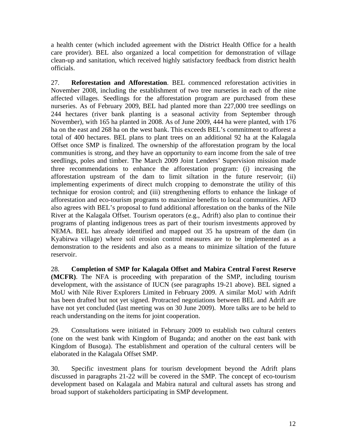a health center (which included agreement with the District Health Office for a health care provider). BEL also organized a local competition for demonstration of village clean-up and sanitation, which received highly satisfactory feedback from district health officials.

27. **Reforestation and Afforestation**. BEL commenced reforestation activities in November 2008, including the establishment of two tree nurseries in each of the nine affected villages. Seedlings for the afforestation program are purchased from these nurseries. As of February 2009, BEL had planted more than 227,000 tree seedlings on 244 hectares (river bank planting is a seasonal activity from September through November), with 165 ha planted in 2008. As of June 2009, 444 ha were planted, with 176 ha on the east and 268 ha on the west bank. This exceeds BEL's commitment to afforest a total of 400 hectares. BEL plans to plant trees on an additional 92 ha at the Kalagala Offset once SMP is finalized. The ownership of the afforestation program by the local communities is strong, and they have an opportunity to earn income from the sale of tree seedlings, poles and timber. The March 2009 Joint Lenders' Supervision mission made three recommendations to enhance the afforestation program: (i) increasing the afforestation upstream of the dam to limit siltation in the future reservoir; (ii) implementing experiments of direct mulch cropping to demonstrate the utility of this technique for erosion control; and (iii) strengthening efforts to enhance the linkage of afforestation and eco-tourism programs to maximize benefits to local communities. AFD also agrees with BEL's proposal to fund additional afforestation on the banks of the Nile River at the Kalagala Offset. Tourism operators (e.g., Adrift) also plan to continue their programs of planting indigenous trees as part of their tourism investments approved by NEMA. BEL has already identified and mapped out 35 ha upstream of the dam (in Kyabirwa village) where soil erosion control measures are to be implemented as a demonstration to the residents and also as a means to minimize siltation of the future reservoir.

28. **Completion of SMP for Kalagala Offset and Mabira Central Forest Reserve (MCFR)**. The NFA is proceeding with preparation of the SMP, including tourism development, with the assistance of IUCN (see paragraphs 19-21 above). BEL signed a MoU with Nile River Explorers Limited in February 2009. A similar MoU with Adrift has been drafted but not yet signed. Protracted negotiations between BEL and Adrift are have not yet concluded (last meeting was on 30 June 2009). More talks are to be held to reach understanding on the items for joint cooperation.

29. Consultations were initiated in February 2009 to establish two cultural centers (one on the west bank with Kingdom of Buganda; and another on the east bank with Kingdom of Busoga). The establishment and operation of the cultural centers will be elaborated in the Kalagala Offset SMP.

30. Specific investment plans for tourism development beyond the Adrift plans discussed in paragraphs 21-22 will be covered in the SMP. The concept of eco-tourism development based on Kalagala and Mabira natural and cultural assets has strong and broad support of stakeholders participating in SMP development.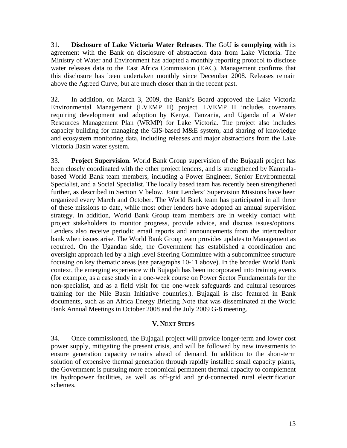31. **Disclosure of Lake Victoria Water Releases**. The GoU **is complying with** its agreement with the Bank on disclosure of abstraction data from Lake Victoria. The Ministry of Water and Environment has adopted a monthly reporting protocol to disclose water releases data to the East Africa Commission (EAC). Management confirms that this disclosure has been undertaken monthly since December 2008. Releases remain above the Agreed Curve, but are much closer than in the recent past.

32. In addition, on March 3, 2009, the Bank's Board approved the Lake Victoria Environmental Management (LVEMP II) project. LVEMP II includes covenants requiring development and adoption by Kenya, Tanzania, and Uganda of a Water Resources Management Plan (WRMP) for Lake Victoria. The project also includes capacity building for managing the GIS-based M&E system, and sharing of knowledge and ecosystem monitoring data, including releases and major abstractions from the Lake Victoria Basin water system.

33. **Project Supervision**. World Bank Group supervision of the Bujagali project has been closely coordinated with the other project lenders, and is strengthened by Kampalabased World Bank team members, including a Power Engineer, Senior Environmental Specialist, and a Social Specialist. The locally based team has recently been strengthened further, as described in Section V below. Joint Lenders' Supervision Missions have been organized every March and October. The World Bank team has participated in all three of these missions to date, while most other lenders have adopted an annual supervision strategy. In addition, World Bank Group team members are in weekly contact with project stakeholders to monitor progress, provide advice, and discuss issues/options. Lenders also receive periodic email reports and announcements from the intercreditor bank when issues arise. The World Bank Group team provides updates to Management as required. On the Ugandan side, the Government has established a coordination and oversight approach led by a high level Steering Committee with a subcommittee structure focusing on key thematic areas (see paragraphs 10-11 above). In the broader World Bank context, the emerging experience with Bujagali has been incorporated into training events (for example, as a case study in a one-week course on Power Sector Fundamentals for the non-specialist, and as a field visit for the one-week safeguards and cultural resources training for the Nile Basin Initiative countries.). Bujagali is also featured in Bank documents, such as an Africa Energy Briefing Note that was disseminated at the World Bank Annual Meetings in October 2008 and the July 2009 G-8 meeting.

# **V. NEXT STEPS**

34. Once commissioned, the Bujagali project will provide longer-term and lower cost power supply, mitigating the present crisis, and will be followed by new investments to ensure generation capacity remains ahead of demand. In addition to the short-term solution of expensive thermal generation through rapidly installed small capacity plants, the Government is pursuing more economical permanent thermal capacity to complement its hydropower facilities, as well as off-grid and grid-connected rural electrification schemes.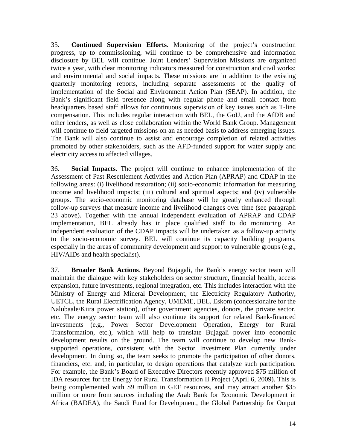35. **Continued Supervision Efforts**. Monitoring of the project's construction progress, up to commissioning, will continue to be comprehensive and information disclosure by BEL will continue. Joint Lenders' Supervision Missions are organized twice a year, with clear monitoring indicators measured for construction and civil works; and environmental and social impacts. These missions are in addition to the existing quarterly monitoring reports, including separate assessments of the quality of implementation of the Social and Environment Action Plan (SEAP). In addition, the Bank's significant field presence along with regular phone and email contact from headquarters based staff allows for continuous supervision of key issues such as T-line compensation. This includes regular interaction with BEL, the GoU, and the AfDB and other lenders, as well as close collaboration within the World Bank Group. Management will continue to field targeted missions on an as needed basis to address emerging issues. The Bank will also continue to assist and encourage completion of related activities promoted by other stakeholders, such as the AFD-funded support for water supply and electricity access to affected villages.

36. **Social Impacts**. The project will continue to enhance implementation of the Assessment of Past Resettlement Activities and Action Plan (APRAP) and CDAP in the following areas: (i) livelihood restoration; (ii) socio-economic information for measuring income and livelihood impacts; (iii) cultural and spiritual aspects; and (iv) vulnerable groups. The socio-economic monitoring database will be greatly enhanced through follow-up surveys that measure income and livelihood changes over time (see paragraph 23 above). Together with the annual independent evaluation of APRAP and CDAP implementation, BEL already has in place qualified staff to do monitoring. An independent evaluation of the CDAP impacts will be undertaken as a follow-up activity to the socio-economic survey. BEL will continue its capacity building programs, especially in the areas of community development and support to vulnerable groups (e.g., HIV/AIDs and health specialist).

37. **Broader Bank Actions**. Beyond Bujagali, the Bank's energy sector team will maintain the dialogue with key stakeholders on sector structure, financial health, access expansion, future investments, regional integration, etc. This includes interaction with the Ministry of Energy and Mineral Development, the Electricity Regulatory Authority, UETCL, the Rural Electrification Agency, UMEME, BEL, Eskom (concessionaire for the Nalubaale/Kiira power station), other government agencies, donors, the private sector, etc. The energy sector team will also continue its support for related Bank-financed investments (e.g., Power Sector Development Operation, Energy for Rural Transformation, etc.), which will help to translate Bujagali power into economic development results on the ground. The team will continue to develop new Banksupported operations, consistent with the Sector Investment Plan currently under development. In doing so, the team seeks to promote the participation of other donors, financiers, etc. and, in particular, to design operations that catalyze such participation. For example, the Bank's Board of Executive Directors recently approved \$75 million of IDA resources for the Energy for Rural Transformation II Project (April 6, 2009). This is being complemented with \$9 million in GEF resources, and may attract another \$35 million or more from sources including the Arab Bank for Economic Development in Africa (BADEA), the Saudi Fund for Development, the Global Partnership for Output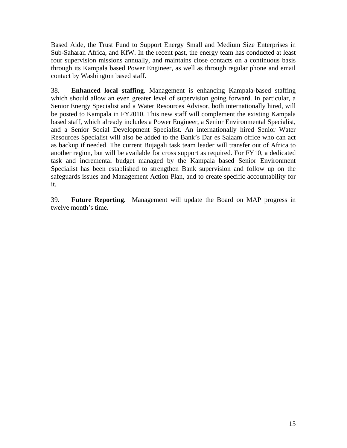Based Aide, the Trust Fund to Support Energy Small and Medium Size Enterprises in Sub-Saharan Africa, and KfW. In the recent past, the energy team has conducted at least four supervision missions annually, and maintains close contacts on a continuous basis through its Kampala based Power Engineer, as well as through regular phone and email contact by Washington based staff.

38. **Enhanced local staffing**. Management is enhancing Kampala-based staffing which should allow an even greater level of supervision going forward. In particular, a Senior Energy Specialist and a Water Resources Advisor, both internationally hired, will be posted to Kampala in FY2010. This new staff will complement the existing Kampala based staff, which already includes a Power Engineer, a Senior Environmental Specialist, and a Senior Social Development Specialist. An internationally hired Senior Water Resources Specialist will also be added to the Bank's Dar es Salaam office who can act as backup if needed. The current Bujagali task team leader will transfer out of Africa to another region, but will be available for cross support as required. For FY10, a dedicated task and incremental budget managed by the Kampala based Senior Environment Specialist has been established to strengthen Bank supervision and follow up on the safeguards issues and Management Action Plan, and to create specific accountability for it.

39. **Future Reporting.** Management will update the Board on MAP progress in twelve month's time.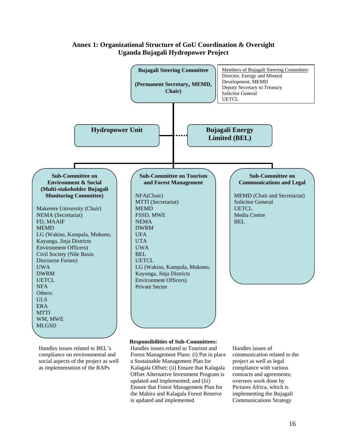

# **Annex 1: Organizational Structure of GoU Coordination & Oversight Uganda Bujagali Hydropower Project**

compliance on environmental and social aspects of the project as well as implementation of the RAPs

Forest Management Plans: (i) Put in place a Sustainable Management Plan for Kalagala Offset; (ii) Ensure that Kalagala Offset Alternative Investment Program is updated and implemented; and (iii) Ensure that Forest Management Plan for the Mabira and Kalagala Forest Reserve is updated and implemented

communication related to the project as well as legal compliance with various contracts and agreements; oversees work done by Pictures Africa, which is implementing the Bujagali Communications Strategy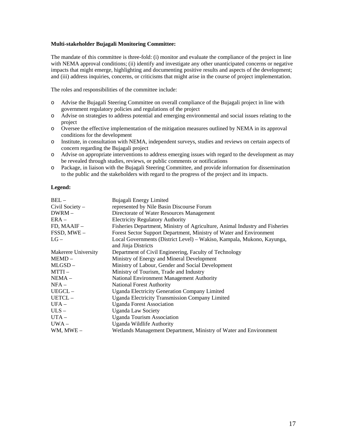#### **Multi-stakeholder Bujagali Monitoring Committee:**

The mandate of this committee is three-fold: (i) monitor and evaluate the compliance of the project in line with NEMA approval conditions; (ii) identify and investigate any other unanticipated concerns or negative impacts that might emerge, highlighting and documenting positive results and aspects of the development; and (iii) address inquiries, concerns, or criticisms that might arise in the course of project implementation.

The roles and responsibilities of the committee include:

- o Advise the Bujagali Steering Committee on overall compliance of the Bujagali project in line with government regulatory policies and regulations of the project
- o Advise on strategies to address potential and emerging environmental and social issues relating to the project
- o Oversee the effective implementation of the mitigation measures outlined by NEMA in its approval conditions for the development
- o Institute, in consultation with NEMA, independent surveys, studies and reviews on certain aspects of concern regarding the Bujagali project
- o Advise on appropriate interventions to address emerging issues with regard to the development as may be revealed through studies, reviews, or public comments or notifications
- o Package, in liaison with the Bujagali Steering Committee, and provide information for dissemination to the public and the stakeholders with regard to the progress of the project and its impacts.

### **Legend:**

| $BEL -$             | Bujagali Energy Limited                                                      |  |
|---------------------|------------------------------------------------------------------------------|--|
| Civil Society -     | represented by Nile Basin Discourse Forum                                    |  |
| $DWRM -$            | Directorate of Water Resources Management                                    |  |
| $ERA -$             | <b>Electricity Regulatory Authority</b>                                      |  |
| FD, MAAIF-          | Fisheries Department, Ministry of Agriculture, Animal Industry and Fisheries |  |
| FSSD, MWE-          | Forest Sector Support Department, Ministry of Water and Environment          |  |
| $LG-$               | Local Governments (District Level) – Wakiso, Kampala, Mukono, Kayunga,       |  |
|                     | and Jinja Districts                                                          |  |
| Makerere University | Department of Civil Engineering, Faculty of Technology                       |  |
| MEMD –              | Ministry of Energy and Mineral Development                                   |  |
| MLGSD-              | Ministry of Labour, Gender and Social Development                            |  |
| $MTTI-$             | Ministry of Tourism, Trade and Industry                                      |  |
| NEMA –              | National Environment Management Authority                                    |  |
| $NFA -$             | <b>National Forest Authority</b>                                             |  |
| UEGCL-              | <b>Uganda Electricity Generation Company Limited</b>                         |  |
| UETCL-              | <b>Uganda Electricity Transmission Company Limited</b>                       |  |
| $UFA-$              | <b>Uganda Forest Association</b>                                             |  |
| $ULS -$             | <b>Uganda Law Society</b>                                                    |  |
| $UTA -$             | <b>Uganda Tourism Association</b>                                            |  |
| $UWA -$             | Uganda Wildlife Authority                                                    |  |
| $WM$ , $MWE -$      | Wetlands Management Department, Ministry of Water and Environment            |  |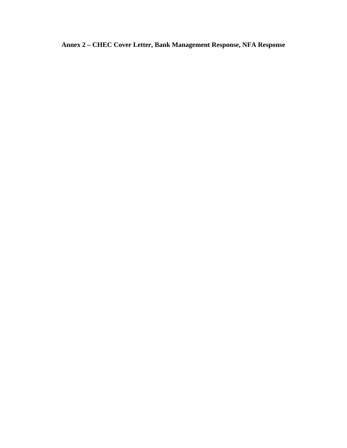**Annex 2 – CHEC Cover Letter, Bank Management Response, NFA Response**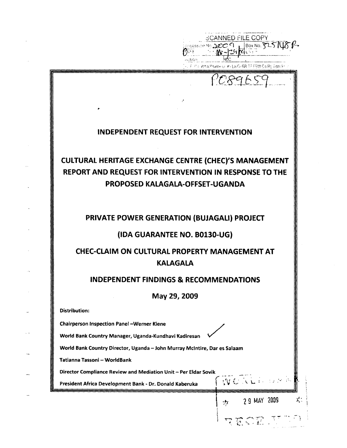|                                                                                           | SCANNED FILE COPY<br>$14.2009$ $180x$ No. $725$     |
|-------------------------------------------------------------------------------------------|-----------------------------------------------------|
|                                                                                           | Filino, apbaltename or # (Lo/G) GR TF ESW Co/Bs Adm |
|                                                                                           | POSGES                                              |
|                                                                                           |                                                     |
|                                                                                           |                                                     |
| INDEPENDENT REQUEST FOR INTERVENTION                                                      |                                                     |
|                                                                                           |                                                     |
| <b>CULTURAL HERITAGE EXCHANGE CENTRE (CHEC)'S MANAGEMENT</b>                              |                                                     |
| REPORT AND REQUEST FOR INTERVENTION IN RESPONSE TO THE<br>PROPOSED KALAGALA-OFFSET-UGANDA |                                                     |
|                                                                                           |                                                     |
|                                                                                           |                                                     |
| PRIVATE POWER GENERATION (BUJAGALI) PROJECT                                               |                                                     |
| (IDA GUARANTEE NO. B0130-UG)                                                              |                                                     |
| <b>CHEC-CLAIM ON CULTURAL PROPERTY MANAGEMENT AT</b><br><b>KALAGALA</b>                   |                                                     |
| <b>INDEPENDENT FINDINGS &amp; RECOMMENDATIONS</b>                                         |                                                     |
|                                                                                           |                                                     |
| May 29, 2009<br><b>Distribution:</b>                                                      |                                                     |
| <b>Chairperson Inspection Panel-Werner Kiene</b>                                          |                                                     |
| World Bank Country Manager, Uganda-Kundhavi Kadiresan                                     |                                                     |
| World Bank Country Director, Uganda - John Murray McIntire, Dar es Salaam                 |                                                     |
| Tatianna Tassoni - WorldBank                                                              |                                                     |
| Director Compliance Review and Mediation Unit - Per Eldar Sovik                           |                                                     |
| President Africa Development Bank - Dr. Donald Kaberuka                                   | WORLDWAR                                            |
|                                                                                           | $7\frac{1}{2}$ 29 MAY 2009                          |
|                                                                                           | RESERTED                                            |

 $\sigma$  , if  $\Delta t$  is a set of  $\Delta t$  is  $\Delta t$  , and  $\sigma$  are approximate set of set of  $\Delta t$  , and  $\sigma$ 

 $\sim 10^7$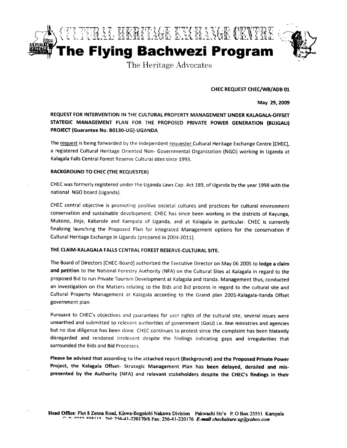



The Heritage Advocates

**CHEC REQUEST CHEC/WB/ADB 01** 

May 29, 2009

REQUEST FOR INTERVENTION IN THE CULTURAL PROPERTY MANAGEMENT UNDER KALAGALA-OFFSET STATEGIC MANAGEMENT PLAN FOR THE PROPOSED PRIVATE POWER GENERATION (BUJGALI) PROJECT (Guarantee No. B0130-UG)-UGANDA

The request is being forwarded by the independent requester Cultural Heritage Exchange Centre [CHEC], a registered Cultural Heritage Oriented Non- Governmental Organization (NGO) working in Uganda at Kalagala Falls Central Forest Reserve Cultural sites since 1993.

#### **BACKGROUND TO CHEC (THE REQUESTER)**

CHEC was formerly registered under the Uganda Laws Cap. Act 189, of Uganda by the year 1998 with the national NGO board (Uganda).

CHEC central objective is promoting positive societal cultures and practices for cultural environment conservation and sustainable development. CHEC has since been working in the districts of Kayunga, Mukono, Jinja, Kabarole and Kampala of Uganda, and at Kalagala in particular. CHEC is currently finalizing launching the Proposed Plan for integrated Management options for the conservation if Cultural Heritage Exchange in Uganda (prepared in 2004-2011).

## THE CLAIM-KALAGALA FALLS CENTRAL FOREST RESERVE-CULTURAL SITE.

The Board of Directors [CHEC-Board] authorized the Executive Director on May 06 2005 to lodge a claim and petition to the National Forestry Authority (NFA) on the Cultural Sites at Kalagala in regard to the proposed Bid to run Private Tourism Development at Kalagala and Itanda. Management thus, conducted an investigation on the Matters relating to the Bids and Bid process in regard to the cultural site and Cultural Property Management at Kalagala according to the Grand plan 2001-Kalagala-Itanda Offset government plan.

Pursuant to CHEC's objectives and guarantees for user rights of the cultural site, several issues were unearthed and submitted to relevant authorities of government (GoU) i.e. line ministries and agencies but no due diligence has been done. CHEC continues to protest since the complaint has been blatantly disregarded and rendered irrelevant despite the findings indicating gaps and irregularities that surrounded the Bids and Bid Processes.

Please be advised that according to the attached report (Background) and the Proposed Private Power Project, the Kalagala Offset- Strategic Management Plan has been delayed, derailed and mispresented by the Authority (NFA) and relevant stakeholders despite the CHEC's findings in their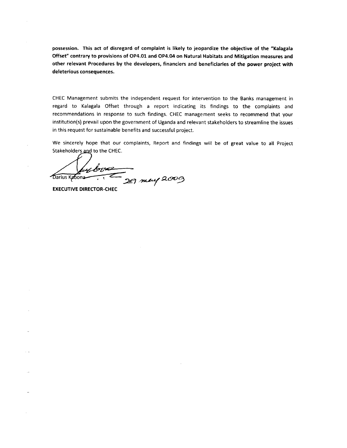possession. This act of disregard of complaint is likely to jeopardize the objective of the "Kalagala Offset" contrary to provisions of OP4.01 and OP4.04 on Natural Habitats and Mitigation measures and other relevant Procedures by the developers, financiers and beneficiaries of the power project with deleterious consequences.

CHEC Management submits the independent request for intervention to the Banks management in regard to Kalagala Offset through a report indicating its findings to the complaints and recommendations in response to such findings. CHEC management seeks to recommend that your institution(s) prevail upon the government of Uganda and relevant stakeholders to streamline the issues in this request for sustainable benefits and successful project.

We sincerely hope that our complaints, Report and findings will be of great value to all Project Stakeholders and to the CHEC.

by box 29 may 2009 Darius Kabona

**EXECUTIVE DIRECTOR-CHEC** 

 $\sim$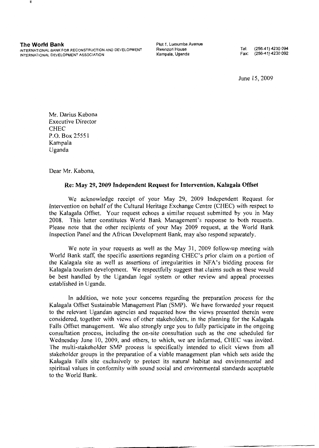**The World Bank** 

INTERNATIONAL BANK FOR RECONSTRUCTION AND DEVELOPMENT INTERNATIONAL DEVELOPMENT ASSOCIATION

Plot 1. Lumumba Avenue Rwenzori House Kampala, Uganda

(256-41) 4230 094 Tel<sup>.</sup> Fax:  $(256-41)$  4230 092

June 15, 2009

Mr. Darius Kabona **Executive Director CHEC** P.O. Box 25551 Kampala Uganda

Dear Mr. Kabona,

## Re: May 29, 2009 Independent Request for Intervention, Kalagala Offset

We acknowledge receipt of your May 29, 2009 Independent Request for Intervention on behalf of the Cultural Heritage Exchange Centre (CHEC) with respect to the Kalagala Offset. Your request echoes a similar request submitted by you in May 2008. This letter constitutes World Bank Management's response to both requests. Please note that the other recipients of your May 2009 request, at the World Bank Inspection Panel and the African Development Bank, may also respond separately.

We note in your requests as well as the May 31, 2009 follow-up meeting with World Bank staff, the specific assertions regarding CHEC's prior claim on a portion of the Kalagala site as well as assertions of irregularities in NFA's bidding process for Kalagala tourism development. We respectfully suggest that claims such as these would be best handled by the Ugandan legal system or other review and appeal processes established in Uganda.

In addition, we note your concerns regarding the preparation process for the Kalagala Offset Sustainable Management Plan (SMP). We have forwarded your request to the relevant Ugandan agencies and requested how the views presented therein were considered, together with views of other stakeholders, in the planning for the Kalagala Falls Offset management. We also strongly urge you to fully participate in the ongoing consultation process, including the on-site consultation such as the one scheduled for Wednesday June 10, 2009, and others, to which, we are informed, CHEC was invited. The multi-stakeholder SMP process is specifically intended to elicit views from all stakeholder groups in the preparation of a viable management plan which sets aside the Kalagala Falls site exclusively to protect its natural habitat and environmental and spiritual values in conformity with sound social and environmental standards acceptable to the World Bank.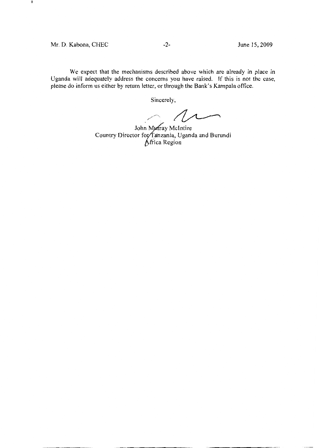## Mr. D. Kabona, CHEC

₩

We expect that the mechanisms described above which are already in place in Uganda will adequately address the concerns you have raised. If this is not the case, please do inform us either by return letter, or through the Bank's Kampala office.

Sincerely,

 $\sim$  12

John Murray McIntire<br>Country Director for Tanzania, Uganda and Burundi<br>Africa Region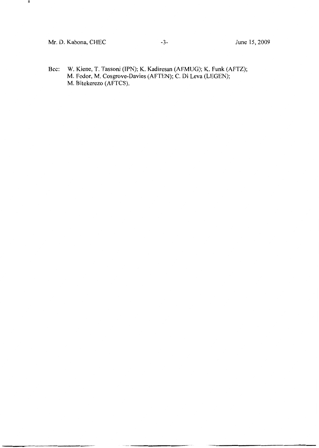Mr. D. Kabona, CHEC

H.

Bcc: W. Kiene, T. Tassoni (IPN); K. Kadiresan (AFMUG); K. Funk (AFTZ); M. Fodor, M. Cosgrove-Davies (AFTEN); C. Di Leva (LEGEN); M. Bitekerezo (AFTCS).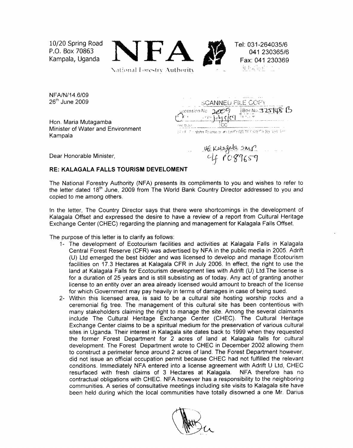

NFA/N/14.6/09 26<sup>th</sup> June 2009

Hon. Maria Mutagamba<br>Minister of Water and Environment Kampala

| NFA/N/14.6/09<br>$26th$ June 2009                         | <b>SCANNELL FILE COPY</b>                                                                                                                                                                                                                                                                      |  |
|-----------------------------------------------------------|------------------------------------------------------------------------------------------------------------------------------------------------------------------------------------------------------------------------------------------------------------------------------------------------|--|
|                                                           | $C_{\text{F}}$ = $\frac{1}{2}$ (1) $\frac{1}{2}$ (1) $\frac{1}{2}$ (1) $\frac{1}{2}$ (1) $\frac{1}{2}$ (1) $\frac{1}{2}$ (1) $\frac{1}{2}$ (1) $\frac{1}{2}$ (1) $\frac{1}{2}$ (1) $\frac{1}{2}$ (1) $\frac{1}{2}$ (2) $\frac{1}{2}$ (2) $\frac{1}{2}$ (3) $\frac{1}{2}$ (1) $\frac{1}{2}$ (3) |  |
| Hon. Maria Mutagamba<br>Minister of Water and Environment | 7 AC TEST<br>of a city of Higher Polame of #11 n/Pr GB TF FSM Co Bd Gon Art                                                                                                                                                                                                                    |  |

Dear Honorable Minister.

uskalagala snip

RE: KALAGALA FALLS TOURISM DEVELOMENT<br>The National Forestry Authority (NFA) presents its compliments to you and wishes to refer The National Forestry Authority (NFA) presents its compliments to you and wishes to refe<br>the letter dated 18<sup>th</sup> June, 2009 from The World Bank Country Director addressed to you

- copied to me among others.<br>
In the letter, The Country Director says that there were shortcomings in the developmen<br>
Kalagala Offset and expressed the desire to have a review of a report from Cultural Herit<br>
Exchange Cente
	- for which Government may pay heavily in terms of damages in case of being sued.<br>2- Within this licensed area, is said to be a cultural site hosting worship rocks a<br>ceremonial fig tree. The management of this cultural site conditions. Immediately NFA entered into a license agreement with Adrift U Ltd, CHEC resurfaced with fresh claims of 3 Hectares at Kalagala. NFA therefore has no contractual obligations with CHEC. NFA however has a respons

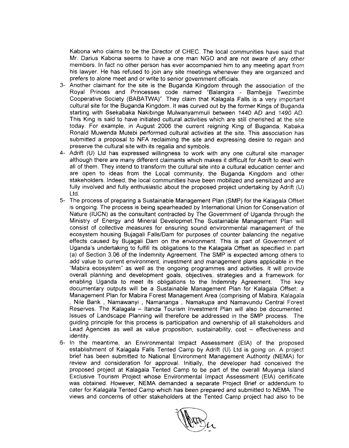Kabona who claims to be the Director of CHEC. The local communities have said that Mr. Darius Kabona seems to have a one man NGO and are not aware of any other members. In fact no other person has ever accompanied him to a

- 3- Another claimant for the site is the Buganda Kingdom through the association of the Royal Princes and Princesses code named "Balangira Bambejja Twezimbe Cooperative Society (BABATWA)". They claim that Kalagala Falls i This King is said to have initiated cultural activities which are still cherished at the stoday. For example, in August 2006 the current reigning King of Buganda, Kabaka Ronald Muwenda Mutebi performed cultural activities today. For example, in August 2006 the current reigning King of Buganda, Kabaka submitted a proposal to NFA reclaiming the site and expressing desire to regain and preserve the cultural site with its regalia and symbols.
- Ronald Muwenda Mutebi performed cultural activities at the site. This association has<br>submitted a proposal to NFA reclaiming the site and expressing desire to regain and<br>preserve the cultural site with its regalia and symb
- fully involved and fully enthusiastic about the proposed project undertaking by Adrift<br>
5- Ite process of preparing a Sustainable Management Plan (SMP) for the Kalagala Of<br>
is ongoing. The process is being spearheaded by I
- Lead Agencies as well as value proposition, sustainability, cost effectivenes<br>identity.<br>6- In the meantime, an Environmental Impact Assessment (EIA) of the pro<br>establishment of Kalagala Falls Tented Camp by Adrift (U) Lt